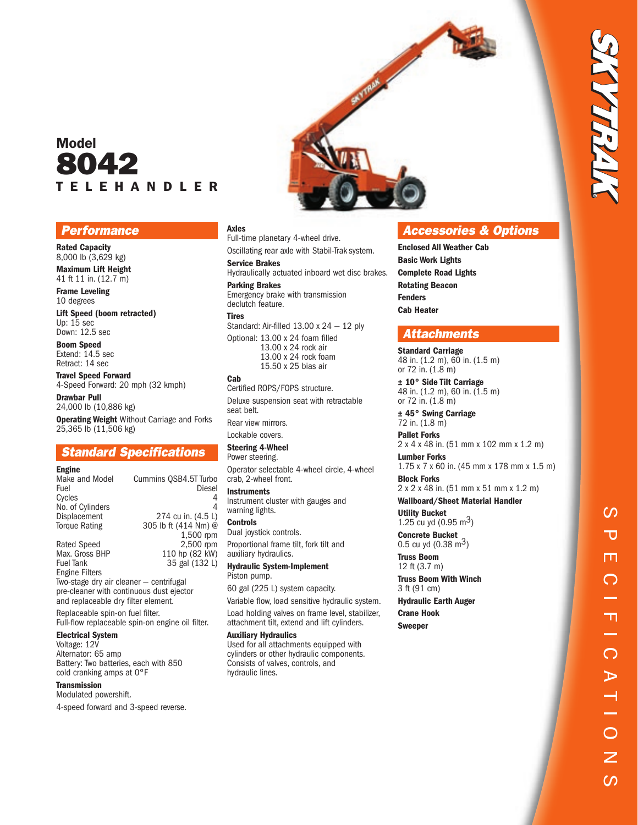# Model 8042 T E L E H A N D L E R

### **Performance**

Rated Capacity 8,000 lb (3,629 kg) Maximum Lift Height

41 ft 11 in. (12.7 m) Frame Leveling

10 degrees

Lift Speed (boom retracted) Up: 15 sec Down: 12.5 sec

Boom Speed Extend: 14.5 sec Retract: 14 sec

Travel Speed Forward 4-Speed Forward: 20 mph (32 kmph)

Drawbar Pull 24,000 lb (10,886 kg) **Operating Weight** Without Carriage and Forks 25,365 lb (11,506 kg)

# Standard Specifications

| Make and Model       | Cummins OSB4.5T Turbo |
|----------------------|-----------------------|
| Fuel                 | Diesel                |
| Cycles               |                       |
| No. of Cylinders     | 4                     |
| Displacement         | 274 cu in. (4.5 L)    |
| <b>Torque Rating</b> | 305 lb ft (414 Nm) @  |
|                      | 1,500 rpm             |
| <b>Rated Speed</b>   | 2,500 rpm             |
| Max. Gross BHP       | 110 hp (82 kW)        |
| <b>Fuel Tank</b>     | 35 gal (132 L)        |

Engine Filters Two-stage dry air cleaner — centrifugal pre-cleaner with continuous dust ejector and replaceable dry filter element.

Replaceable spin-on fuel filter. Full-flow replaceable spin-on engine oil filter.

### Electrical System

Voltage: 12V Alternator: 65 amp Battery: Two batteries, each with 850 cold cranking amps at 0°F

#### **Transmission**

Modulated powershift.

4-speed forward and 3-speed reverse.



#### Axles

Full-time planetary 4-wheel drive. Oscillating rear axle with Stabil-Trak system.

#### Service Brakes

Hydraulically actuated inboard wet disc brakes. Parking Brakes

Emergency brake with transmission declutch feature.

#### Tires

Standard: Air-filled 13.00 x 24 — 12 ply

Optional: 13.00 x 24 foam filled 13.00 x 24 rock air 13.00 x 24 rock foam 15.50 x 25 bias air

#### Cab

Certified ROPS/FOPS structure. Deluxe suspension seat with retractable seat belt. Rear view mirrors.

Lockable covers.

Steering 4-Wheel Power steering.

Operator selectable 4-wheel circle, 4-wheel crab, 2-wheel front.

**Instruments** Instrument cluster with gauges and warning lights.

**Controls** Dual joystick controls.

Proportional frame tilt, fork tilt and auxiliary hydraulics. Hydraulic System-Implement

Piston pump.

60 gal (225 L) system capacity.

Variable flow, load sensitive hydraulic system.

Load holding valves on frame level, stabilizer, attachment tilt, extend and lift cylinders.

#### Auxiliary Hydraulics

Used for all attachments equipped with cylinders or other hydraulic components. Consists of valves, controls, and hydraulic lines.

# Accessories & Options

Enclosed All Weather Cab Basic Work Lights Complete Road Lights Rotating Beacon Fenders Cab Heater

## **Attachments**

Standard Carriage 48 in. (1.2 m), 60 in. (1.5 m) or 72 in. (1.8 m)

± 10° Side Tilt Carriage 48 in. (1.2 m), 60 in. (1.5 m) or 72 in. (1.8 m)

± 45° Swing Carriage 72 in. (1.8 m)

Pallet Forks 2 x 4 x 48 in. (51 mm x 102 mm x 1.2 m)

Lumber Forks 1.75 x 7 x 60 in. (45 mm x 178 mm x 1.5 m)

Block Forks 2 x 2 x 48 in. (51 mm x 51 mm x 1.2 m)

Wallboard/Sheet Material Handler Utility Bucket

1.25 cu yd  $(0.95 \text{ m}^3)$ Concrete Bucket

0.5 cu yd  $(0.38 \text{ m}^3)$ 

Truss Boom 12 ft (3.7 m)

Truss Boom With Winch 3 ft (91 cm)

Hydraulic Earth Auger Crane Hook

Sweeper